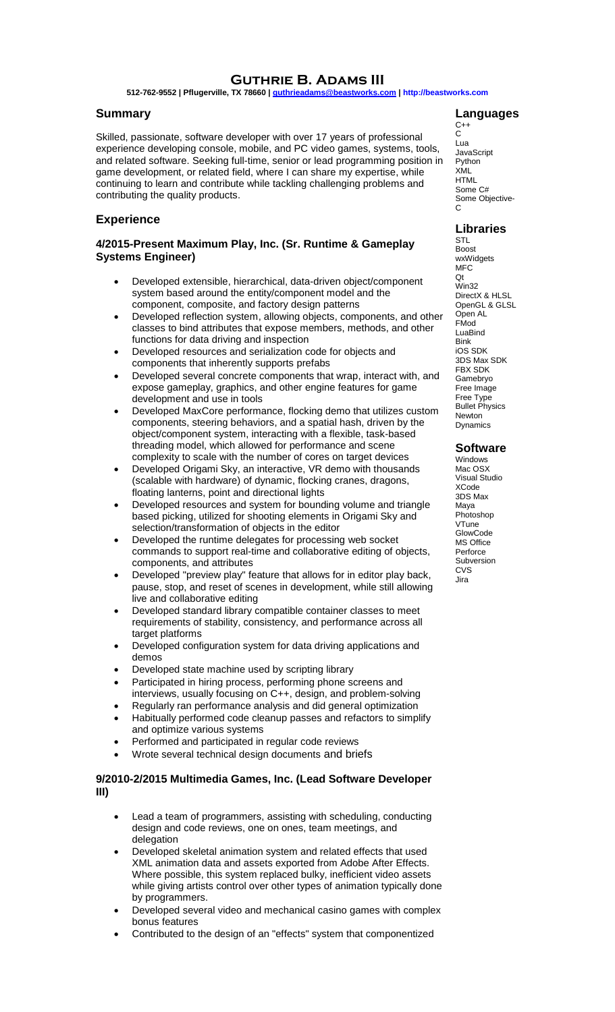# **Guthrie B. Adams III**

**512-762-9552 | Pflugerville, TX 78660 [| guthrieadams@beastworks.com](mailto:guthrieadams@beastworks.com) [| http://beastworks.com](http://beastworks.com/)**

## **Summary**

Skilled, passionate, software developer with over 17 years of professional experience developing console, mobile, and PC video games, systems, tools, and related software. Seeking full-time, senior or lead programming position in game development, or related field, where I can share my expertise, while continuing to learn and contribute while tackling challenging problems and contributing the quality products.

# **Experience**

# **4/2015-Present Maximum Play, Inc. (Sr. Runtime & Gameplay Systems Engineer)**

- Developed extensible, hierarchical, data-driven object/component system based around the entity/component model and the component, composite, and factory design patterns
- Developed reflection system, allowing objects, components, and other classes to bind attributes that expose members, methods, and other functions for data driving and inspection
- Developed resources and serialization code for objects and components that inherently supports prefabs
- Developed several concrete components that wrap, interact with, and expose gameplay, graphics, and other engine features for game development and use in tools
- Developed MaxCore performance, flocking demo that utilizes custom components, steering behaviors, and a spatial hash, driven by the object/component system, interacting with a flexible, task-based threading model, which allowed for performance and scene complexity to scale with the number of cores on target devices
- Developed Origami Sky, an interactive, VR demo with thousands (scalable with hardware) of dynamic, flocking cranes, dragons, floating lanterns, point and directional lights
- Developed resources and system for bounding volume and triangle based picking, utilized for shooting elements in Origami Sky and selection/transformation of objects in the editor
- Developed the runtime delegates for processing web socket commands to support real-time and collaborative editing of objects, components, and attributes
- Developed "preview play" feature that allows for in editor play back, pause, stop, and reset of scenes in development, while still allowing live and collaborative editing
- Developed standard library compatible container classes to meet requirements of stability, consistency, and performance across all target platforms
- Developed configuration system for data driving applications and demos
- Developed state machine used by scripting library
- Participated in hiring process, performing phone screens and interviews, usually focusing on C++, design, and problem-solving
- Regularly ran performance analysis and did general optimization
- Habitually performed code cleanup passes and refactors to simplify and optimize various systems
- Performed and participated in regular code reviews
- Wrote several technical design documents and briefs

## **9/2010-2/2015 Multimedia Games, Inc. (Lead Software Developer III)**

- Lead a team of programmers, assisting with scheduling, conducting design and code reviews, one on ones, team meetings, and delegation
- Developed skeletal animation system and related effects that used XML animation data and assets exported from Adobe After Effects. Where possible, this system replaced bulky, inefficient video assets while giving artists control over other types of animation typically done by programmers.
- Developed several video and mechanical casino games with complex bonus features
- Contributed to the design of an "effects" system that componentized

## **Languages**

 $C++$ C Lua **JavaScript** Python XML HTML Some C# Some Objective-C

## **Libraries**

STL Boost wxWidgets MFC Qt Win32 DirectX & HLSI OpenGL & GLSL Open AL FMod LuaBind Bink iOS SDK 3DS Max SDK FBX SDK Gamebryo Free Image Free Type Bullet Physics Newton Dynamics

#### **Software**

Windows Mac OSX Visual Studio XCode 3DS Max Maya Photoshop VTune **GlowCode** MS Office **Perforce** Subversion **CVS** Jira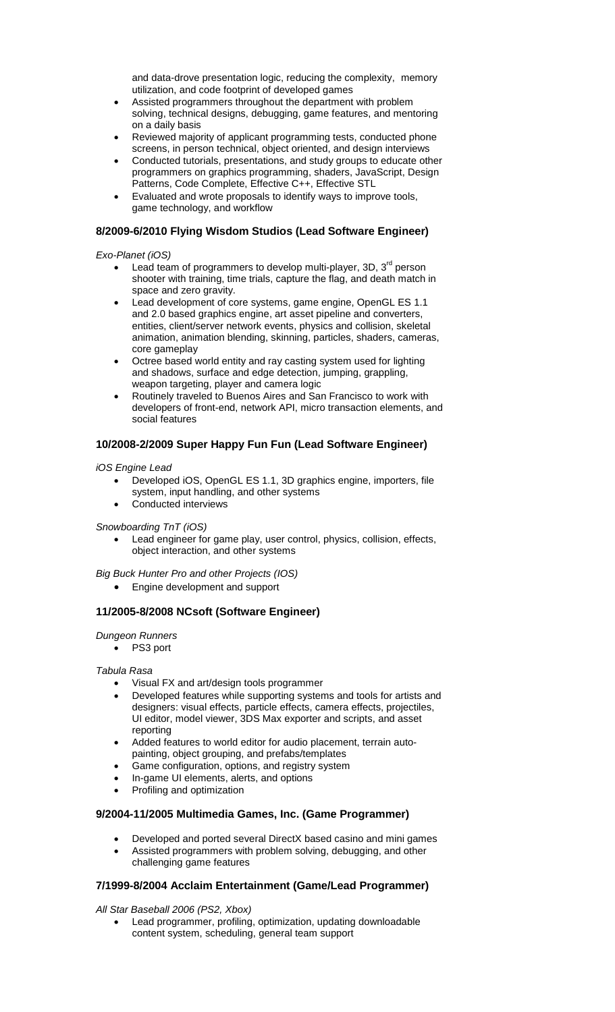and data-drove presentation logic, reducing the complexity, memory utilization, and code footprint of developed games

- Assisted programmers throughout the department with problem solving, technical designs, debugging, game features, and mentoring on a daily basis
- Reviewed majority of applicant programming tests, conducted phone screens, in person technical, object oriented, and design interviews
- Conducted tutorials, presentations, and study groups to educate other programmers on graphics programming, shaders, JavaScript, Design Patterns, Code Complete, Effective C++, Effective STL
- Evaluated and wrote proposals to identify ways to improve tools, game technology, and workflow

## **8/2009-6/2010 Flying Wisdom Studios (Lead Software Engineer)**

*Exo-Planet (iOS)* 

- $\bullet$  Lead team of programmers to develop multi-player, 3D, 3<sup>rd</sup> person shooter with training, time trials, capture the flag, and death match in space and zero gravity.
- Lead development of core systems, game engine, OpenGL ES 1.1 and 2.0 based graphics engine, art asset pipeline and converters, entities, client/server network events, physics and collision, skeletal animation, animation blending, skinning, particles, shaders, cameras, core gameplay
- Octree based world entity and ray casting system used for lighting and shadows, surface and edge detection, jumping, grappling, weapon targeting, player and camera logic
- Routinely traveled to Buenos Aires and San Francisco to work with developers of front-end, network API, micro transaction elements, and social features

# **10/2008-2/2009 Super Happy Fun Fun (Lead Software Engineer)**

*iOS Engine Lead*

- Developed iOS, OpenGL ES 1.1, 3D graphics engine, importers, file system, input handling, and other systems
- Conducted interviews

*Snowboarding TnT (iOS)* 

 Lead engineer for game play, user control, physics, collision, effects, object interaction, and other systems

*Big Buck Hunter Pro and other Projects (IOS)*

Engine development and support

# **11/2005-8/2008 NCsoft (Software Engineer)**

*Dungeon Runners*

PS3 port

*Tabula Rasa*

- Visual FX and art/design tools programmer
- Developed features while supporting systems and tools for artists and designers: visual effects, particle effects, camera effects, projectiles, UI editor, model viewer, 3DS Max exporter and scripts, and asset reporting
- Added features to world editor for audio placement, terrain autopainting, object grouping, and prefabs/templates
- Game configuration, options, and registry system
- In-game UI elements, alerts, and options
- Profiling and optimization

# **9/2004-11/2005 Multimedia Games, Inc. (Game Programmer)**

- Developed and ported several DirectX based casino and mini games
- Assisted programmers with problem solving, debugging, and other challenging game features

#### **7/1999-8/2004 Acclaim Entertainment (Game/Lead Programmer)**

*All Star Baseball 2006 (PS2, Xbox)*

 Lead programmer, profiling, optimization, updating downloadable content system, scheduling, general team support